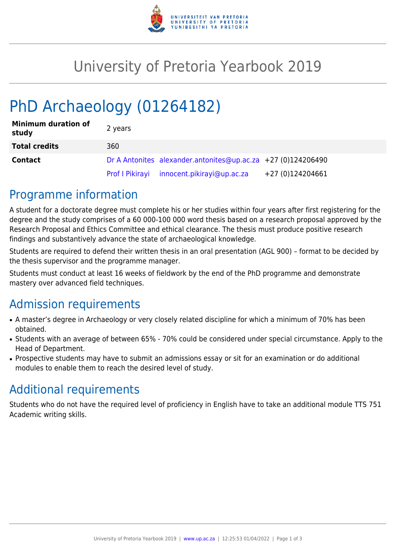

# University of Pretoria Yearbook 2019

# PhD Archaeology (01264182)

| <b>Minimum duration of</b><br>study | 2 years |                                                              |                  |
|-------------------------------------|---------|--------------------------------------------------------------|------------------|
| <b>Total credits</b>                | 360     |                                                              |                  |
| <b>Contact</b>                      |         | Dr A Antonites alexander.antonites@up.ac.za +27 (0)124206490 |                  |
|                                     |         | Prof I Pikirayi innocent.pikirayi@up.ac.za                   | +27 (0)124204661 |

### Programme information

A student for a doctorate degree must complete his or her studies within four years after first registering for the degree and the study comprises of a 60 000-100 000 word thesis based on a research proposal approved by the Research Proposal and Ethics Committee and ethical clearance. The thesis must produce positive research findings and substantively advance the state of archaeological knowledge.

Students are required to defend their written thesis in an oral presentation (AGL 900) – format to be decided by the thesis supervisor and the programme manager.

Students must conduct at least 16 weeks of fieldwork by the end of the PhD programme and demonstrate mastery over advanced field techniques.

## Admission requirements

- A master's degree in Archaeology or very closely related discipline for which a minimum of 70% has been obtained.
- Students with an average of between 65% 70% could be considered under special circumstance. Apply to the Head of Department.
- Prospective students may have to submit an admissions essay or sit for an examination or do additional modules to enable them to reach the desired level of study.

## Additional requirements

Students who do not have the required level of proficiency in English have to take an additional module TTS 751 Academic writing skills.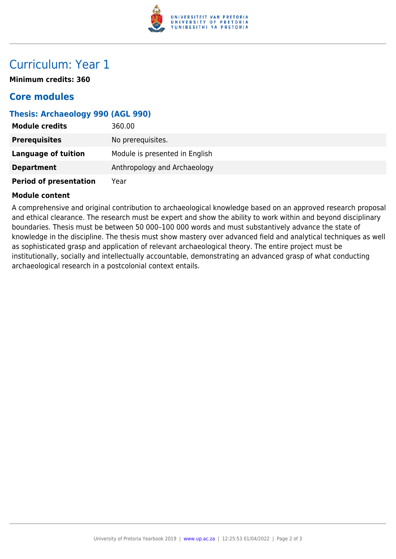

## Curriculum: Year 1

**Minimum credits: 360**

### **Core modules**

#### **Thesis: Archaeology 990 (AGL 990)**

| <b>Module credits</b>         | 360.00                         |
|-------------------------------|--------------------------------|
| <b>Prerequisites</b>          | No prerequisites.              |
| <b>Language of tuition</b>    | Module is presented in English |
| <b>Department</b>             | Anthropology and Archaeology   |
| <b>Period of presentation</b> | Year                           |

#### **Module content**

A comprehensive and original contribution to archaeological knowledge based on an approved research proposal and ethical clearance. The research must be expert and show the ability to work within and beyond disciplinary boundaries. Thesis must be between 50 000–100 000 words and must substantively advance the state of knowledge in the discipline. The thesis must show mastery over advanced field and analytical techniques as well as sophisticated grasp and application of relevant archaeological theory. The entire project must be institutionally, socially and intellectually accountable, demonstrating an advanced grasp of what conducting archaeological research in a postcolonial context entails.